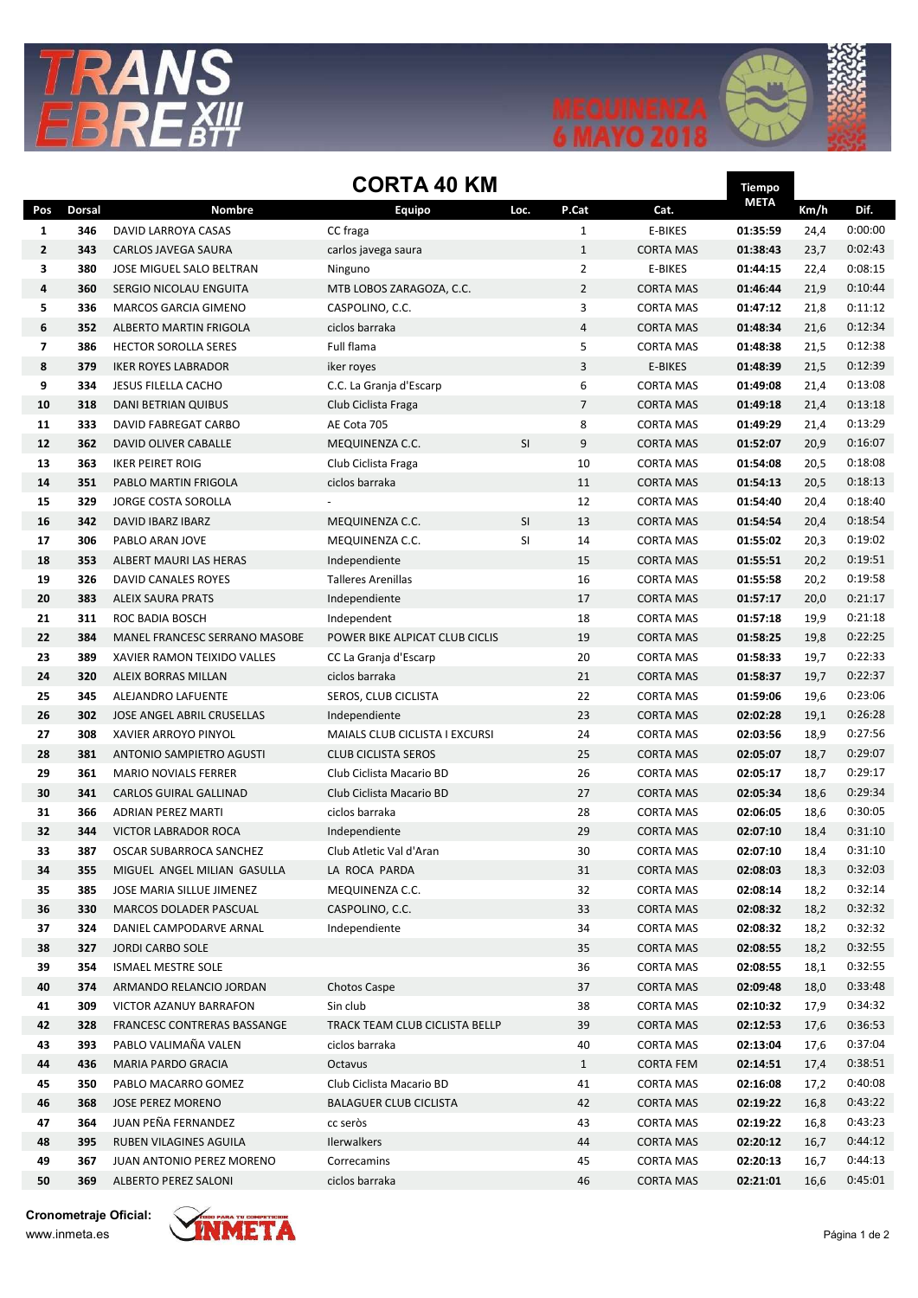



Tiempo

## CORTA 40 KM

|                         |               |                               | ווווו טד ר <i>ו</i> ווע        |      |                |                  | nempo       |      |         |
|-------------------------|---------------|-------------------------------|--------------------------------|------|----------------|------------------|-------------|------|---------|
| Pos                     | <b>Dorsal</b> | Nombre                        | <b>Equipo</b>                  | Loc. | P.Cat          | Cat.             | <b>META</b> | Km/h | Dif.    |
| 1                       | 346           | DAVID LARROYA CASAS           | CC fraga                       |      | $\mathbf{1}$   | <b>E-BIKES</b>   | 01:35:59    | 24,4 | 0:00:00 |
| $\overline{2}$          | 343           | CARLOS JAVEGA SAURA           | carlos javega saura            |      | $\mathbf{1}$   | <b>CORTA MAS</b> | 01:38:43    | 23,7 | 0:02:43 |
| 3                       | 380           | JOSE MIGUEL SALO BELTRAN      | Ninguno                        |      | $\overline{2}$ | E-BIKES          | 01:44:15    | 22,4 | 0:08:15 |
| 4                       | 360           | SERGIO NICOLAU ENGUITA        | MTB LOBOS ZARAGOZA, C.C.       |      | $\overline{2}$ | <b>CORTA MAS</b> | 01:46:44    | 21,9 | 0:10:44 |
| 5                       | 336           | MARCOS GARCIA GIMENO          | CASPOLINO, C.C.                |      | 3              | <b>CORTA MAS</b> | 01:47:12    | 21,8 | 0:11:12 |
| 6                       | 352           | ALBERTO MARTIN FRIGOLA        | ciclos barraka                 |      | $\overline{4}$ | <b>CORTA MAS</b> | 01:48:34    | 21,6 | 0:12:34 |
| $\overline{\mathbf{z}}$ | 386           | <b>HECTOR SOROLLA SERES</b>   | Full flama                     |      | 5              | <b>CORTA MAS</b> | 01:48:38    | 21,5 | 0:12:38 |
| 8                       | 379           | <b>IKER ROYES LABRADOR</b>    | iker royes                     |      | 3              | <b>E-BIKES</b>   | 01:48:39    | 21,5 | 0:12:39 |
| 9                       | 334           | <b>JESUS FILELLA CACHO</b>    | C.C. La Granja d'Escarp        |      | 6              | <b>CORTA MAS</b> | 01:49:08    | 21,4 | 0:13:08 |
| 10                      | 318           | <b>DANI BETRIAN QUIBUS</b>    | Club Ciclista Fraga            |      | $\overline{7}$ | <b>CORTA MAS</b> | 01:49:18    | 21,4 | 0:13:18 |
| 11                      | 333           | DAVID FABREGAT CARBO          | AE Cota 705                    |      | 8              | <b>CORTA MAS</b> | 01:49:29    | 21,4 | 0:13:29 |
| 12                      | 362           | DAVID OLIVER CABALLE          | MEQUINENZA C.C.                | SI   | 9              | <b>CORTA MAS</b> | 01:52:07    | 20,9 | 0:16:07 |
| 13                      | 363           | <b>IKER PEIRET ROIG</b>       | Club Ciclista Fraga            |      | 10             | <b>CORTA MAS</b> | 01:54:08    | 20,5 | 0:18:08 |
| 14                      | 351           | PABLO MARTIN FRIGOLA          | ciclos barraka                 |      | 11             | <b>CORTA MAS</b> | 01:54:13    | 20,5 | 0:18:13 |
| 15                      | 329           | JORGE COSTA SOROLLA           |                                |      | 12             | <b>CORTA MAS</b> | 01:54:40    | 20,4 | 0:18:40 |
| 16                      | 342           | DAVID IBARZ IBARZ             | MEQUINENZA C.C.                | SI   | 13             | <b>CORTA MAS</b> | 01:54:54    | 20,4 | 0:18:54 |
| 17                      | 306           | PABLO ARAN JOVE               | MEQUINENZA C.C.                | SI   | 14             | <b>CORTA MAS</b> | 01:55:02    | 20,3 | 0:19:02 |
| 18                      | 353           | ALBERT MAURI LAS HERAS        | Independiente                  |      | 15             | <b>CORTA MAS</b> | 01:55:51    | 20,2 | 0:19:51 |
| 19                      | 326           | <b>DAVID CANALES ROYES</b>    | <b>Talleres Arenillas</b>      |      | 16             | <b>CORTA MAS</b> | 01:55:58    | 20,2 | 0:19:58 |
| 20                      | 383           | <b>ALEIX SAURA PRATS</b>      | Independiente                  |      | 17             | <b>CORTA MAS</b> | 01:57:17    | 20,0 | 0:21:17 |
| 21                      | 311           | ROC BADIA BOSCH               | Independent                    |      | 18             | <b>CORTA MAS</b> | 01:57:18    | 19,9 | 0:21:18 |
| 22                      | 384           | MANEL FRANCESC SERRANO MASOBE | POWER BIKE ALPICAT CLUB CICLIS |      | 19             | <b>CORTA MAS</b> | 01:58:25    | 19,8 | 0:22:25 |
| 23                      | 389           | XAVIER RAMON TEIXIDO VALLES   | CC La Granja d'Escarp          |      | 20             | <b>CORTA MAS</b> | 01:58:33    | 19,7 | 0:22:33 |
| 24                      | 320           | ALEIX BORRAS MILLAN           | ciclos barraka                 |      | 21             | <b>CORTA MAS</b> | 01:58:37    | 19,7 | 0:22:37 |
| 25                      | 345           | ALEJANDRO LAFUENTE            | SEROS, CLUB CICLISTA           |      | 22             | <b>CORTA MAS</b> | 01:59:06    | 19,6 | 0:23:06 |
| 26                      | 302           | JOSE ANGEL ABRIL CRUSELLAS    | Independiente                  |      | 23             | <b>CORTA MAS</b> | 02:02:28    | 19,1 | 0:26:28 |
| 27                      | 308           | XAVIER ARROYO PINYOL          | MAIALS CLUB CICLISTA I EXCURSI |      | 24             | <b>CORTA MAS</b> | 02:03:56    | 18,9 | 0:27:56 |
| 28                      | 381           | ANTONIO SAMPIETRO AGUSTI      | <b>CLUB CICLISTA SEROS</b>     |      | 25             | <b>CORTA MAS</b> | 02:05:07    | 18,7 | 0:29:07 |
| 29                      | 361           | <b>MARIO NOVIALS FERRER</b>   | Club Ciclista Macario BD       |      | 26             | <b>CORTA MAS</b> | 02:05:17    | 18,7 | 0:29:17 |
| 30                      | 341           | <b>CARLOS GUIRAL GALLINAD</b> | Club Ciclista Macario BD       |      | 27             | <b>CORTA MAS</b> | 02:05:34    | 18,6 | 0:29:34 |
| 31                      | 366           | ADRIAN PEREZ MARTI            | ciclos barraka                 |      | 28             | <b>CORTA MAS</b> | 02:06:05    | 18,6 | 0:30:05 |
| 32                      | 344           | VICTOR LABRADOR ROCA          | Independiente                  |      | 29             | <b>CORTA MAS</b> | 02:07:10    | 18,4 | 0:31:10 |
| 33                      | 387           | OSCAR SUBARROCA SANCHEZ       | Club Atletic Val d'Aran        |      | 30             | <b>CORTA MAS</b> | 02:07:10    | 18,4 | 0:31:10 |
| 34                      | 355           | MIGUEL ANGEL MILIAN GASULLA   | LA ROCA PARDA                  |      | 31             | <b>CORTA MAS</b> | 02:08:03    | 18,3 | 0:32:03 |
| 35                      | 385           | JOSE MARIA SILLUE JIMENEZ     | MEQUINENZA C.C.                |      | 32             | <b>CORTA MAS</b> | 02:08:14    | 18,2 | 0:32:14 |
| 36                      | 330           | MARCOS DOLADER PASCUAL        | CASPOLINO, C.C.                |      | 33             | <b>CORTA MAS</b> | 02:08:32    | 18,2 | 0:32:32 |
| 37                      | 324           | DANIEL CAMPODARVE ARNAL       | Independiente                  |      | 34             | <b>CORTA MAS</b> | 02:08:32    | 18,2 | 0:32:32 |
| 38                      | 327           | <b>JORDI CARBO SOLE</b>       |                                |      | 35             | <b>CORTA MAS</b> | 02:08:55    | 18,2 | 0:32:55 |
| 39                      | 354           | <b>ISMAEL MESTRE SOLE</b>     |                                |      | 36             | <b>CORTA MAS</b> | 02:08:55    | 18,1 | 0:32:55 |
| 40                      | 374           | ARMANDO RELANCIO JORDAN       | <b>Chotos Caspe</b>            |      | 37             | <b>CORTA MAS</b> | 02:09:48    | 18,0 | 0:33:48 |
| 41                      | 309           | VICTOR AZANUY BARRAFON        | Sin club                       |      | 38             | <b>CORTA MAS</b> | 02:10:32    | 17,9 | 0:34:32 |
| 42                      | 328           | FRANCESC CONTRERAS BASSANGE   | TRACK TEAM CLUB CICLISTA BELLP |      | 39             | CORTA MAS        | 02:12:53    | 17,6 | 0:36:53 |
| 43                      | 393           | PABLO VALIMAÑA VALEN          | ciclos barraka                 |      | 40             | <b>CORTA MAS</b> | 02:13:04    | 17,6 | 0:37:04 |
| 44                      | 436           | MARIA PARDO GRACIA            | Octavus                        |      | $\mathbf{1}$   | <b>CORTA FEM</b> | 02:14:51    | 17,4 | 0:38:51 |
| 45                      | 350           | PABLO MACARRO GOMEZ           | Club Ciclista Macario BD       |      | 41             | <b>CORTA MAS</b> | 02:16:08    | 17,2 | 0:40:08 |
| 46                      | 368           | <b>JOSE PEREZ MORENO</b>      | <b>BALAGUER CLUB CICLISTA</b>  |      | 42             | <b>CORTA MAS</b> | 02:19:22    | 16,8 | 0:43:22 |
| 47                      | 364           | JUAN PEÑA FERNANDEZ           | cc seròs                       |      | 43             | <b>CORTA MAS</b> | 02:19:22    | 16,8 | 0:43:23 |
| 48                      | 395           | RUBEN VILAGINES AGUILA        | <b>Ilerwalkers</b>             |      | 44             | <b>CORTA MAS</b> | 02:20:12    | 16,7 | 0:44:12 |
| 49                      | 367           | JUAN ANTONIO PEREZ MORENO     | Correcamins                    |      | 45             | <b>CORTA MAS</b> | 02:20:13    | 16,7 | 0:44:13 |
| 50                      | 369           | ALBERTO PEREZ SALONI          | ciclos barraka                 |      | 46             | <b>CORTA MAS</b> | 02:21:01    | 16,6 | 0:45:01 |